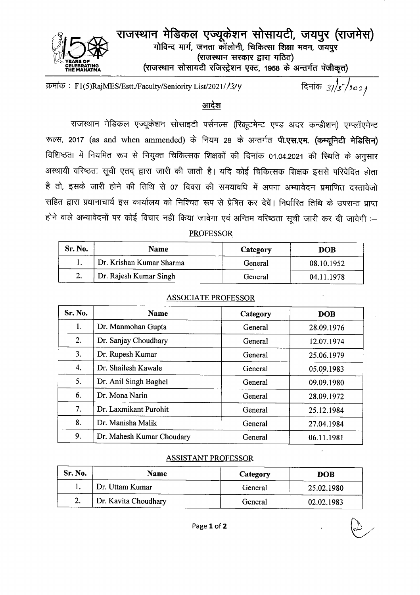

राजस्थान मेडिकल एज्यूकेशन सोसायटी, जयपुर (राजमेस) गोविन्द मार्ग, जनता कॉलोनी, चिकित्सा शिक्षा भवन, जयपुर (राजस्थान सरकार द्वारा गठित) (राजस्थान सोसायटी रजिस्ट्रेशन एक्ट, 1958 के अन्तर्गत पंजीकृत)

क्रमांक: F1(5)RajMES/Estt./Faculty/Seniority List/2021//3/4

दिनांक 3//s / 2021

# आदेश

राजस्थान मेडिकल एज्यूकेशन सोसाइटी पर्सनल्स (रिक्रूटमेन्ट एण्ड अदर कन्डीशन) एम्प्लॉएमेन्ट रूल्स, 2017 (as and when ammended) के नियम 28 के अन्तर्गत पी.एस.एम. (कम्यूनिटी मेडिसिन) विशिष्ठता में नियमित रूप से नियुक्त चिकित्सक शिक्षकों की दिनांक 01.04.2021 की स्थिति के अनुसार अस्थायी वरिष्ठता सूची एतद् द्वारा जारी की जाती है। यदि कोई चिकित्सक शिक्षक इससे परिवेदित होता है तो, इसके जारी होने की तिथि से 07 दिवस की समयावधि में अपना अभ्यावेदन प्रमाणित दस्तावेजो सहित द्वारा प्रधानाचार्य इस कार्यालय को निश्चित रूप से प्रेषित कर देवें। निर्धारित तिथि के उपरान्त प्राप्त होने वाले अभ्यावेदनों पर कोई विचार नही किया जावेगा एवं अन्तिम वरिष्ठता सूची जारी कर दी जावेगी :-

## **PROFESSOR**

| Sr. No. | <b>Name</b>              | Category | <b>DOB</b> |
|---------|--------------------------|----------|------------|
|         | Dr. Krishan Kumar Sharma | General  | 08.10.1952 |
|         | Dr. Rajesh Kumar Singh   | General  | 04.11.1978 |

| Sr. No. | <b>Name</b>               | Category | <b>DOB</b> |
|---------|---------------------------|----------|------------|
| 1.      | Dr. Manmohan Gupta        | General  | 28.09.1976 |
| 2.      | Dr. Sanjay Choudhary      | General  | 12.07.1974 |
| 3.      | Dr. Rupesh Kumar          | General  | 25.06.1979 |
| 4.      | Dr. Shailesh Kawale       | General  | 05.09.1983 |
| 5.      | Dr. Anil Singh Baghel     | General  | 09.09.1980 |
| 6.      | Dr. Mona Narin            | General  | 28.09.1972 |
| 7.      | Dr. Laxmikant Purohit     | General  | 25.12.1984 |
| 8.      | Dr. Manisha Malik         | General  | 27.04.1984 |
| 9.      | Dr. Mahesh Kumar Choudary | General  | 06.11.1981 |

## **ASSOCIATE PROFESSOR**

### **ASSISTANT PROFESSOR**

| Sr. No. | <b>Name</b>          | Category | <b>DOB</b> |
|---------|----------------------|----------|------------|
|         | Dr. Uttam Kumar      | General  | 25.02.1980 |
| 2.      | Dr. Kavita Choudhary | General  | 02.02.1983 |